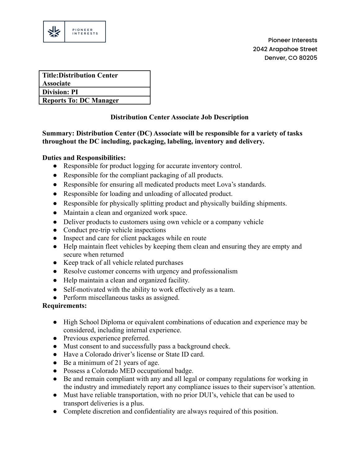

| <b>Title:Distribution Center</b> |
|----------------------------------|
| <b>Associate</b>                 |
| <b>Division: PI</b>              |
| <b>Reports To: DC Manager</b>    |

# **Distribution Center Associate Job Description**

# **Summary: Distribution Center (DC) Associate will be responsible for a variety of tasks throughout the DC including, packaging, labeling, inventory and delivery.**

## **Duties and Responsibilities:**

- Responsible for product logging for accurate inventory control.
- Responsible for the compliant packaging of all products.
- Responsible for ensuring all medicated products meet Lova's standards.
- Responsible for loading and unloading of allocated product.
- Responsible for physically splitting product and physically building shipments.
- Maintain a clean and organized work space.
- Deliver products to customers using own vehicle or a company vehicle
- Conduct pre-trip vehicle inspections
- Inspect and care for client packages while en route
- Help maintain fleet vehicles by keeping them clean and ensuring they are empty and secure when returned
- Keep track of all vehicle related purchases
- Resolve customer concerns with urgency and professionalism
- Help maintain a clean and organized facility.
- Self-motivated with the ability to work effectively as a team.
- **●** Perform miscellaneous tasks as assigned.

## **Requirements:**

- High School Diploma or equivalent combinations of education and experience may be considered, including internal experience.
- Previous experience preferred.
- Must consent to and successfully pass a background check.
- Have a Colorado driver's license or State ID card.
- Be a minimum of 21 years of age.
- Possess a Colorado MED occupational badge.
- Be and remain compliant with any and all legal or company regulations for working in the industry and immediately report any compliance issues to their supervisor's attention.
- Must have reliable transportation, with no prior DUI's, vehicle that can be used to transport deliveries is a plus.
- Complete discretion and confidentiality are always required of this position.